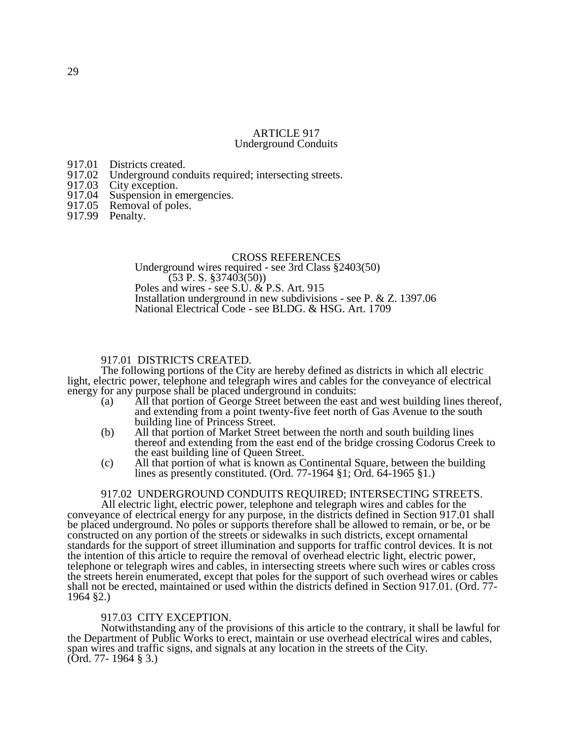#### ARTICLE 917 Underground Conduits

- 
- 917.01 Districts created.<br>917.02 Underground con 917.02 Underground conduits required; intersecting streets.<br>917.03 City exception.
- 917.03 City exception.<br>917.04 Suspension in e
- 917.04 Suspension in emergencies.<br>917.05 Removal of poles.
- Removal of poles.
- 917.99 Penalty.

#### CROSS REFERENCES

Underground wires required - see 3rd Class §2403(50)  $(53 \text{ P. S. }$ \$37403(50)) Poles and wires - see S.U. & P.S. Art. 915 Installation underground in new subdivisions - see P. & Z. 1397.06 National Electrical Code - see BLDG. & HSG. Art. 1709

# 917.01 DISTRICTS CREATED.

The following portions of the City are hereby defined as districts in which all electric light, electric power, telephone and telegraph wires and cables for the conveyance of electrical energy for any purpose shall be placed underground in conduits:

- (a) All that portion of George Street between the east and west building lines thereof, and extending from a point twenty-five feet north of Gas Avenue to the south building line of Princess Street.
- (b) All that portion of Market Street between the north and south building lines thereof and extending from the east end of the bridge crossing Codorus Creek to the east building line of Queen Street.
- (c) All that portion of what is known as Continental Square, between the building lines as presently constituted. (Ord. 77-1964 §1; Ord. 64-1965 §1.)

# 917.02 UNDERGROUND CONDUITS REQUIRED; INTERSECTING STREETS.

All electric light, electric power, telephone and telegraph wires and cables for the conveyance of electrical energy for any purpose, in the districts defined in Section 917.01 shall be placed underground. No poles or supports therefore shall be allowed to remain, or be, or be constructed on any portion of the streets or sidewalks in such districts, except ornamental standards for the support of street illumination and supports for traffic control devices. It is not the intention of this article to require the removal of overhead electric light, electric power, telephone or telegraph wires and cables, in intersecting streets where such wires or cables cross the streets herein enumerated, except that poles for the support of such overhead wires or cables shall not be erected, maintained or used within the districts defined in Section 917.01. (Ord. 77- 1964 §2.)

### 917.03 CITY EXCEPTION.

Notwithstanding any of the provisions of this article to the contrary, it shall be lawful for the Department of Public Works to erect, maintain or use overhead electrical wires and cables, span wires and traffic signs, and signals at any location in the streets of the City. (Ord. 77- 1964 § 3.)